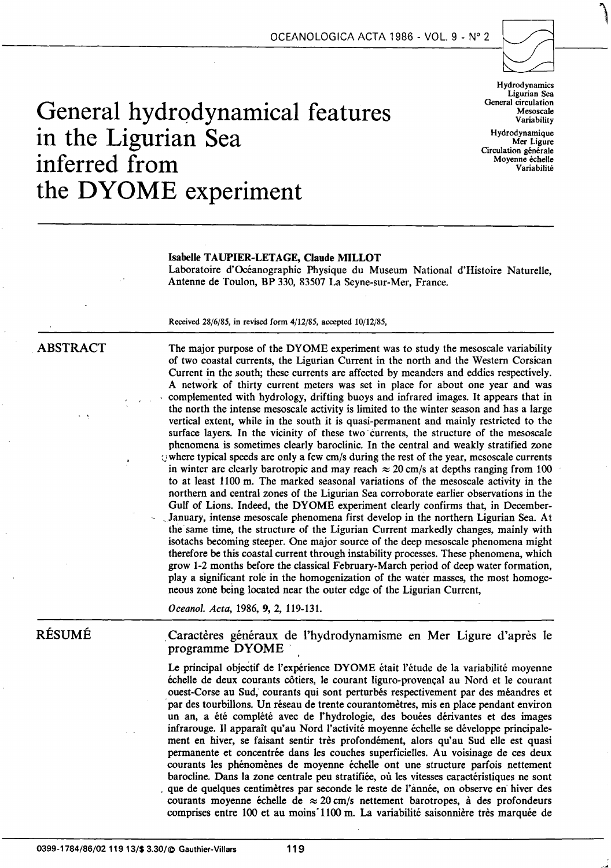

# General hydrodynamical features **in the Ligurian Sea**  inferred from **variabilité** variabilité variabilité variabilité variabilité variabilité variabilité variabilité **the DYOME experiment**

Hydrodynamics Ligurian Sea General circulation Mesoscale Variability

**Hydrodynamique** Mer Ligure Circulation générale<br>Moyenne échelle

#### Isabelle TAUPIER-LET AGE, Claude MILLOT

Laboratoire d'Océanographie Physique du Museum National d'Histoire Naturelle, Antenne de Toulon, BP 330, 83507 La Seyne-sur-Mer, France.

Received 28/6/85, in revised form 4/12/85, accepted 10/12/85,

# ABSTRACT

The major purpose of the DYOME experiment was to study the mesoscale variability of two coastal currents, the Ligurian Current in the north and the Western Corsican Current in the south; these currents are affected by meanders and eddies respectively. A network of thirty current meters was set in place for about one year and was complemented with hydrology, drifting buoys and infrared images. It appears that in the north the intense mesoscale activity is limited to the winter season and bas a large vertical extent, white in the south it is quasi-permanent and mainly restricted to the surface layers. In the vicinity of these two currents, the structure of the mesoscale phenomena is sometimes clearly baroclinic. In the central and weakly stratified zone  $\Diamond$  where typical speeds are only a few cm/s during the rest of the year, mesoscale currents in winter are clearly barotropic and may reach  $\approx$  20 cm/s at depths ranging from 100 to at least 1100 m. The marked seasonal variations of the mesoscale activity in the northern and central zones of the Ligurian Sea corroborate earlier observations in the Gulf of Lions. Indeed, the DYOME experiment clearly confirms that, in December- January, intense mesoscale phenomena first develop in the northern Ligurian Sea. At the same time, the structure of the Ligurian Current markedly changes, mainly with isotachs becoming steeper. One major source of the deep mesoscale phenomena might therefore be this coastal current through instability processes. These phenomena, which grow 1-2 months before the classical February-March period of deep water formation, play a significant role in the homogenization of the water masses, the most homogeneous zone being located near the outer edge of the Ligurian Current,

*Oceanol. Acta,* 1986, 9, 2, 119-131.

# RÉSUMÉ

. Caractères généraux de l'hydrodynamisme en Mer Ligure d'après le programme DYOME

Le principal objectif de l'expérience DYOME était l'étude de la variabilité moyenne échelle de deux courants côtiers, le courant liguro-provençal au Nord et le courant ouest-Corse au Sud; courants qui sont perturbés respectivement par des méandres et par des tourbillons. Un réseau de trente courantomètres, mis en place pendant environ un an, a été complété avec de l'hydrologie, des bouées dérivantes et des images infrarouge. Il apparaît qu'au Nord l'activité moyenne échelle se développe principalement en hiver, se faisant sentir très profondément, alors qu'au Sud elle est quasi permanente et concentrée dans les couches superficielles. Au voisinage de ces deux courants les phénomènes de moyenne échelle ont une structure parfois nettement barocline. Dans la zone centrale peu stratifiée, où les vitesses caractéristiques ne sont . que de quelques centimètres par seconde le reste de l'année, on observe en hiver des courants moyenne échelle de  $\approx 20$  cm/s nettement barotropes, à des profondeurs comprises entre 100 et au moinsï100 m. La variabilité saisonnière très marquée de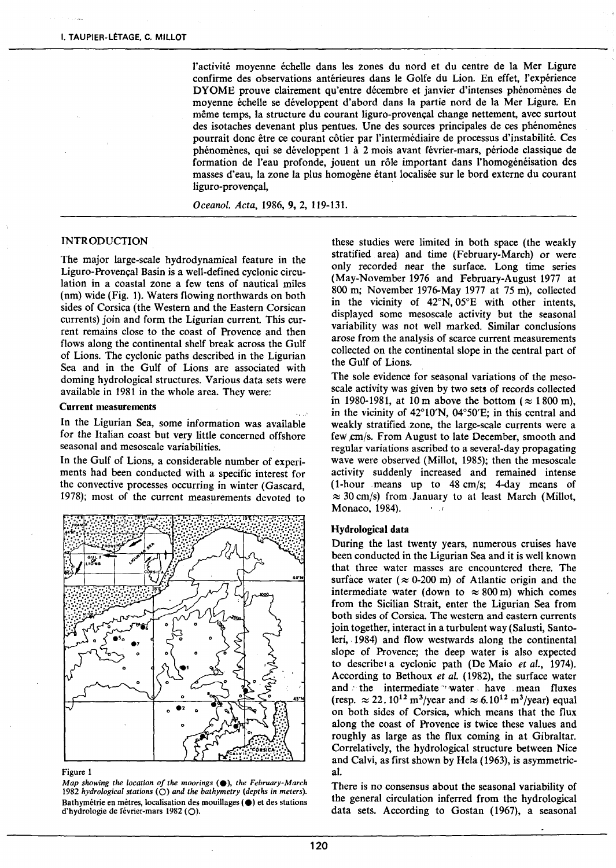l'activité moyenne échelle dans les zones du nord et du centre de la Mer Ligure confirme des observations antérieures dans le Golfe du Lion. En effet, l'expérience DYOME prouve clairement qu'entre décembre et janvier d'intenses phénomènes de moyenne échelle se développent d'abord dans la partie nord de la Mer Ligure. En même temps, la structure du courant liguro-provençal change nettement, avec surtout des isotaches devenant plus pentues. Une des sources principales de ces phénomènes pourrait donc être ce courant côtier par l'intermédiaire de processus d'instabilité. Ces phénomènes, qui se développent 1 à 2 mois avant février-mars, période classique de formation de l'eau profonde, jouent un rôle important dans l'homogénéisation des masses d'eau, la zone la plus homogène étant localisée sur le bord externe du courant liguro-provençal,

*Oceanol. Acta,* 1986, 9, 2, 119-131.

## INTRODUCTION

The major large-scale hydrodynamical feature in the Liguro-Provençal Basin is a well-defined cyclonic circulation in a coastal zone a few tens of nautical miles (nm) wide (Fig. 1). Waters flowing northwards on both sides of Corsica (the Western and the Eastern Corsican currents) join and form the Ligurian current. This current remains close to the coast of Provence and then flows along the continental shelf break across the Gulf of Lions. The cyclonic paths described in the Ligurian Sea and in the Gulf of Lions are associated with doming hydrological structures. Various data sets were available in 1981 in the whole area. They were:

#### Current measurements *... :*

In the Ligurian Sea, some information was available for the Italian coast but very little concerned offshore seasonal and mesoscale variabilities.

In the Gulf of Lions, a considerable number of experiments had been conducted with a specifie interest for the convective processes occurring in winter (Gascard, 1978); most of the current measurements devoted to



#### Figure 1

*Map showing the location of the moorings* ( $\bullet$ ), *the February-March* 1982 hydrological stations (O) and the bathymetry (depths in meters). Bathymétrie en mètres, localisation des mouillages ( $\bigcirc$ ) et des stations d'hydrologie de février-mars 1982 (0).

these studies were limited in both space (the weakly stratified area) and time (February-March) or were only recorded near the surface. Long time series (May-November 1976 and February-August 1977 at 800 m; November 1976-May 1977 at 75 m), collected in the vicinity of 42°N, 05°E with other intents, displayed sorne mesoscale activity but the seasonal variability was not weil marked. Similar conclusions arose from the analysis of scarce current measurements collected on the continental slope in the central part of the Gulf of Lions.

The sole evidence for seasonal variations of the mesoscale activity was given by two sets of records collected in 1980-1981, at 10 m above the bottom ( $\approx$  1800 m), in the vicinity of 42°10'N, 04°50'E; in this central and weakly stratified zone, the large-scale currents were a few cm/s. From August to late December, smooth and regnlar variations ascribed to a several-day propagating wave were observed (Millot, 1985); then the mesoscale activity suddenly increased and remained intense (1-hour means up to 48 cmjs; 4-day means of  $\approx$  30 cm/s) from January to at least March (Millot, Monaco, 1984).  $\cdot \cdot \cdot$ 

#### Hydrological data

During the last twenty years, numerous cruises have been conducted in the Ligurian Sea and it is weil known that three water masses are encountered there. The surface water ( $\approx$  0-200 m) of Atlantic origin and the intermediate water (down to  $\approx 800$  m) which comes from the Sicilian Strait, enter the Ligurian Sea from both sides of Corsica. The western and eastern currents join together, interact in a turbulent way (Salusti, Santoleri, 1984) and flow westwards along the continental slope of Provence; the deep water is also expected to describet a cyclonic path (De Maio *et al.,* 1974). According to Bethoux *et al.* (1982), the surface water and the intermediate *water* have mean fluxes (resp.  $\approx 22.10^{12} \text{ m}^3/\text{year}$  and  $\approx 6.10^{12} \text{ m}^3/\text{year}$ ) equal on both sides of Corsica, which means that the flux along the coast of Provence is twice these values and roughly as large as the flux coming in at Gibraltar. Correlatively, the hydrological structure between Nice and Calvi, as first shown by Hela (1963), is asymmetrical.

There is no consensus about the seasonal variability of the general circulation inferred from the hydrological data sets. According to Gostan (1967), a seasonal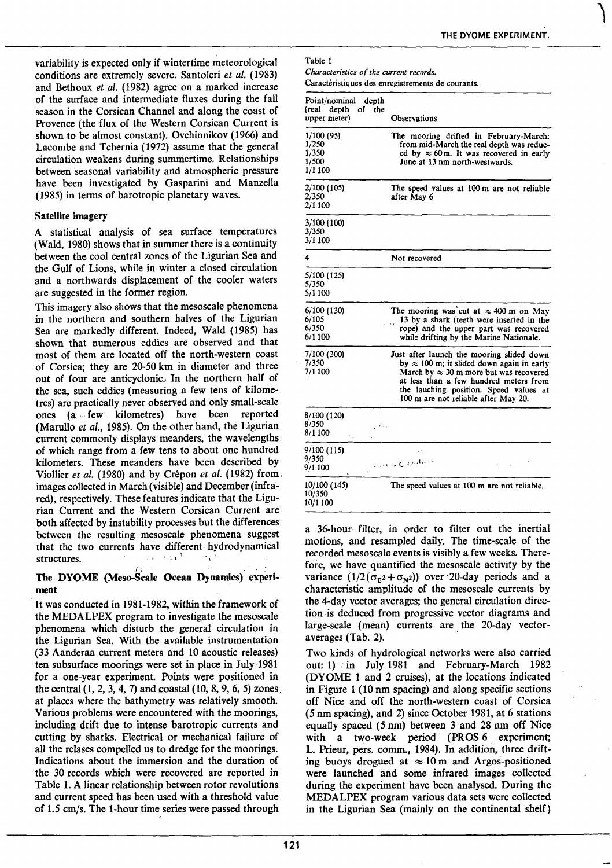variability is expected only if wintertime meteorological conditions are extremely severe. Santoleri et al. (1983) and Bethoux *et al.* (1982) agree on a marked increase of the surface and intermediate fluxes during the faU season in the Corsican Channel and along the coast of Provence (the flux of the Western Corsican Current is shown to be almost constant). Ovchinnikov (1966) and Lacombe and Tchernia (1972) assume that the general circulation weakens during summertime. Relationships between seasonal variability and atmospheric pressure have been investigated by Gasparini and Manzella (1985) in terms of barotropic planetary waves.

## Satellite imagery

A statistical analysis of sea surface temperatures (Wald, 1980) shows that in summer there is a continuity between the cool central zones of the Ligurian Sea and the Gulf of Lions, white in winter a closed circulation and a northwards displacement of the cooler waters are suggested in the former region.

This imagery also shows that the mesoscale phenomena in the northern and southern baives of the Ligurian Sea are markedly different. Indeed, Wald (1985) has shown that numerous eddies are observed and that most of them are located off the north-western coast of Corsica; they are 20-50 km in diameter and three out of four are anticyclonic. In the northern half of the sea, such eddies (measuring a few tens of kilometres) are practicalJy never observed and only small-scale ones (a ,. few kilometres) have been reported (Marullo *et al.,* 1985). On the other band, the Ligurian current commonly displays meanders, the wavelengths. of which range from a few tens to about one hundred kilometers. These meanders have been described by Viollier *et al.* (1980) and by Crépon *et al.* (1982) from. images collected in March (visible) and December (infrared), respectively. These features indicate that the Ligurian Current and the Western Corsican Current are both affected by instability processes but the differences between the resulting mesoscale phenomena suggest that the two currents have different hydrodynamical structures. ្នារ ។ **រ**ៅ  $\sim 3\%$ 

## The DYOME (Meso-Scale Ocean Dynamics) experiment

lt was conducted in 1981-1982, within the framework of the MEDALPEX program to investigate the mesoscale phenomena which disturb the general circulation in the Ligurian Sea. With the available instrumentation (33 Aanderaa current meters and 10 acoustic releases) ten subsurface moorings were set in place in July 1981 for a one-year experiment. Points were positioned in the central (1, 2, 3, 4, 7) and coastal (10, 8, 9, 6, 5) zones. at places where the bathymetry was relatively smooth. Various problems were encountered with the moorings, including drift due to intense barotropic currents and cutting by sharks. Electrical or mechanical failure of ali the relases compelled us to dredge for the moorings. Indications about the immersion and the duration of the 30 records which were recovered are reported in Table 1. A linear relationship between rotor revolutions and current speed bas been used with a threshold value of 1.5 cm/s. The 1-hour time series were passed through

Table 1 *Characteristics of the current records.* 

Caractéristiques des enregistrements de courants.

| Point/nominal depth<br>(real depth<br>upper meter) | of the | <b>Observations</b>                                                                                                                                                                                                                                                          |
|----------------------------------------------------|--------|------------------------------------------------------------------------------------------------------------------------------------------------------------------------------------------------------------------------------------------------------------------------------|
| 1/100 (95)<br>1/250<br>1/350<br>1/500<br>1/1 100   |        | The mooring drifted in February-March;<br>from mid-March the real depth was reduc-<br>ed by $\approx 60$ m. It was recovered in early<br>June at 13 nm north-westwards.                                                                                                      |
| 2/100 (105)<br>2/350<br>2/1 100                    |        | The speed values at 100 m are not reliable<br>after May 6                                                                                                                                                                                                                    |
| 3/100 (100)<br>3/350<br>3/1 100                    |        |                                                                                                                                                                                                                                                                              |
| 4                                                  |        | Not recovered                                                                                                                                                                                                                                                                |
| 5/100 (125)<br>5/350<br>5/1 100                    |        |                                                                                                                                                                                                                                                                              |
| 6/100 (130)<br>6/105<br>6/350<br>6/1100            |        | The mooring was cut at $\approx 400$ m on May<br>13 by a shark (teeth were inserted in the<br>$\mathbf{r}$<br>rope) and the upper part was recovered<br>while drifting by the Marine Nationale.                                                                              |
| 7/100 (200)<br>7/350<br>7/1 100                    |        | Just after launch the mooring slided down<br>by $\approx 100$ m; it slided down again in early<br>March by $\approx 30$ m more but was recovered<br>at less than a few hundred meters from<br>the lauching position. Speed values at<br>100 m are not reliable after May 20. |
| 8/100 (120)<br>8/350<br>8/1 100                    | بنجي   |                                                                                                                                                                                                                                                                              |
| 9/100 (115)<br>9/350<br>9/1 100                    |        | $\ddot{\phantom{a}}$<br>Londo Cambrin                                                                                                                                                                                                                                        |
| 10/100 (145)<br>10/350<br>10/1 100                 |        | The speed values at 100 m are not reliable.                                                                                                                                                                                                                                  |

a 36-hour filter, in order to filter out the inertial motions, and resampled daily. The time-scale of the recorded mesoscale events is visibly a few weeks. Therefore, we have quantified the mesoscale activity by the variance  $(1/2(\sigma_{E^2}+\sigma_{N^2}))$  over 20-day periods and a characteristic amplitude of the mesoscale currents by the 4-day vector averages; the general circulation direction is deduced from progressive vector diagrams and large-scale (mean) currents are the 20-day vectoraverages (Tab. 2).

Two kinds of hydrological networks were also carried out: 1) in July 1981 and February-March 1982 (DYOME 1 and 2 cruises), at the locations indicated in Figure 1 (10 nm spacing) and along specifie sections off Nice and off the north-western coast of Corsica (5 nm spacing), and 2) since October 1981, at 6 stations equally spaced (5 nm) between 3 and 28 nm off Nice with a two-week period (PROS 6 experiment; L. Prieur, pers. comm., 1984). In addition, three drifting buoys drogued at  $\approx 10 \text{ m}$  and Argos-positioned were launched and some infrared images collected during the experiment have been analysed. During the MEDALPEX program various data sets were collected in the Ligurian Sea (mainly on the continental shelf)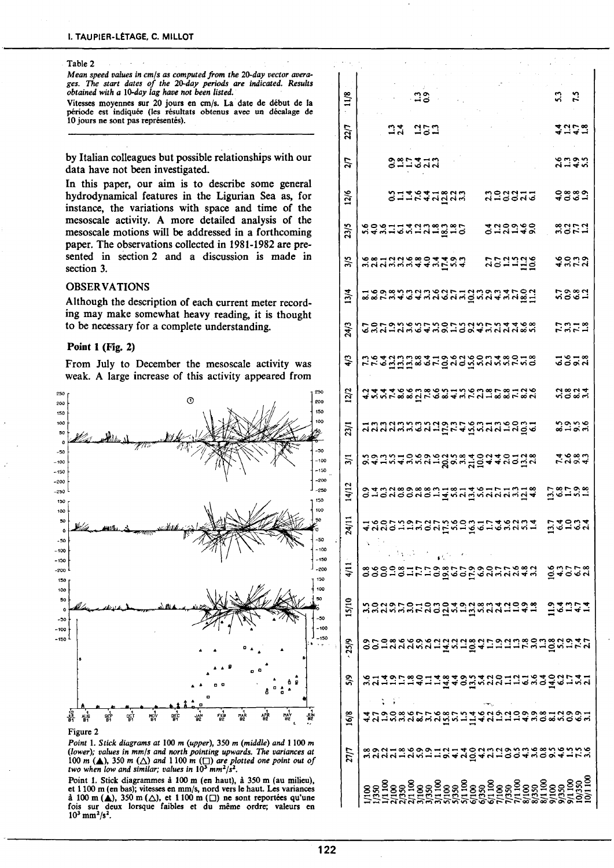#### Table 2

Mean speed values in cm/s as computed from the 20-day vector avera*ges. The start dates of the 20-day periods are indicated. Results obtained with a 10-day lag have not been listed.* 

Vitesses moyennes sur 20 jours en cm/s. La date de début de la période est indiquée (les résultats obtenus avec un décalage de 10 jours ne sont pas représentés).

by Italian colleagues but possible relationships with our data have not been investigated.

In this paper, our aim is to describe some general hydrodynamical features in the Ligurian Sea as, for instance, the variations with space and time of the mesoscale activity. A more detailed analysis of the mesoscale motions will be addressed in a forthcoming paper. The observations collected in 1981-1982 are presented in section 2 and a discussion is made in section 3.

#### **OBSERVATIONS**

Although the description of each current meter recording may make somewhat heavy reading, it is thought to be necessary for a complete understanding.

## Point **l** (Fig. 2)

From July to December the mesoscale activity was weak. A large increase of this activity appeared from



## *Point* 1. *Stick diagrams at* 100 *m (upper),* 350 *m (middle) and* 1100 *m (lower); values in mm/s and north painting upwards.* The *variances at*  100 *m* (**△**), 350 *m* ( $\triangle$ ) *and* 1100 *m* ( $\Box$ ) *are plotted one point out of two when low and similar; values in 10<sup>3</sup> <i>mm*<sup>2</sup>/s<sup>2</sup>.

Point 1. Stick diagrammes à 100 m (en haut), à 350 m (au milieu), et 1100 rn (en bas); vitesses en mm/s, nord vers le haut. Les variances à 100 m  $(\triangle)$ , 350 m  $(\triangle)$ , et 1100 m  $(\square)$  ne sont reportées qu'une fois sur deux lorsque faibles et du même ordre; valeurs en  $10^3$  mm<sup>2</sup>/s<sup>2</sup>.

| $\frac{118}{2}$  | <b>23</b><br><b>ជ</b> ំ ជំ                                                                                   |  |
|------------------|--------------------------------------------------------------------------------------------------------------|--|
| 22/7             | 4 2 4 2<br><b>23 252</b>                                                                                     |  |
| 2/7              | $8.56$<br>$-4.56$<br>33.747.7                                                                                |  |
| 12/6             | 4983<br>232272<br>Suntangga                                                                                  |  |
| 23/5             | 22173<br>273748<br>202011222223                                                                              |  |
| 3/5              | 4352<br>councidad 44004<br>223338                                                                            |  |
| 13/4             | 2387<br>58089031080513903146091                                                                              |  |
| 24/3             | ての79ともら7との7と2と7と4468 とうこうしょう しょうしょうしょう しゅうしょう<br><b>1313</b><br>1313                                         |  |
| 4/3              | 5958<br>5558<br>ne dana sa tio cao sandwicko                                                                 |  |
| 12/2             | 2804<br>$45557788999999499999587999499$                                                                      |  |
| 23/1             | 8288<br><u>นี้สนสมพลสมบัตรส์สิทย์สนี้สน</u> ี้ค                                                              |  |
| $\overline{3}/1$ | 7.080<br>SQQSTOSANGESSERTQQXXOQQ                                                                             |  |
| 14/12            | onousowennendwyddynne Geror                                                                                  |  |
| $\frac{1}{4}$    | a 2004<br>2012<br>4 dae 125 dae 16 dae 16 dae 16 dae                                                         |  |
| $\frac{11}{4}$   | ssocialhuosettaannavan gaded                                                                                 |  |
| 15/10            | ที่ตูหนูที่ตูนี้ตูตูหนูที่ผู้หนูที่มีสูง สูง<br>$-3.7.7.7$                                                   |  |
| 25/9             | oolaasaasadadadahaadanaadaha                                                                                 |  |
| 5/9              | sununus alla alang ang ling sa Sangg                                                                         |  |
| 16/8             | 4 7 9 9 8 9 7 7 9 8 7 9 4 9 9 9 9 9 9 9 9 1 9 9 9 7<br>4 7 1 7 2 9 8 7 7 9 8 7 9 4 9 7 9 9 9 9 9 9 9 9 9 9 9 |  |
| 27/7             |                                                                                                              |  |
|                  |                                                                                                              |  |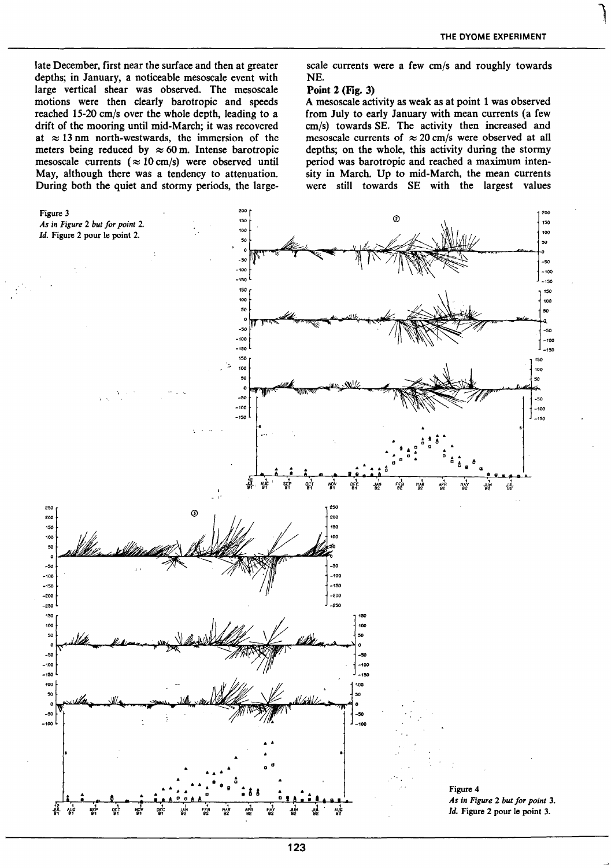**leader** 

late December, first near the surface and then at greater depths; in January, a noticeable mesoscale event with large vertical shear was observed. The mesoscale motions were then clearly barotropic and speeds reached 15-20 cm/s over the whole depth, leading to a drift of the mooring until mid-March; it was recovered at  $\approx$  13 nm north-westwards, the immersion of the meters being reduced by  $\approx 60$  m. Intense barotropic mesoscale currents ( $\approx 10$  cm/s) were observed until May, although there was a tendency to attenuation. During both the quiet and stormy periods, the largescale currents were a few cm/s and roughly towards NE.

## Point 2 (Fig. 3)

A mesoscale activity as weak as at point 1 was observed from July to early January with mean currents (a few cm/s) towards SE. The activity then increased and mesoscale currents of  $\approx 20$  cm/s were observed at all depths; on the whole, this activity during the stormy period was barotropic and reached a maximum intensity in March. Up to mid-March, the mean currents were still towards SE with the largest values

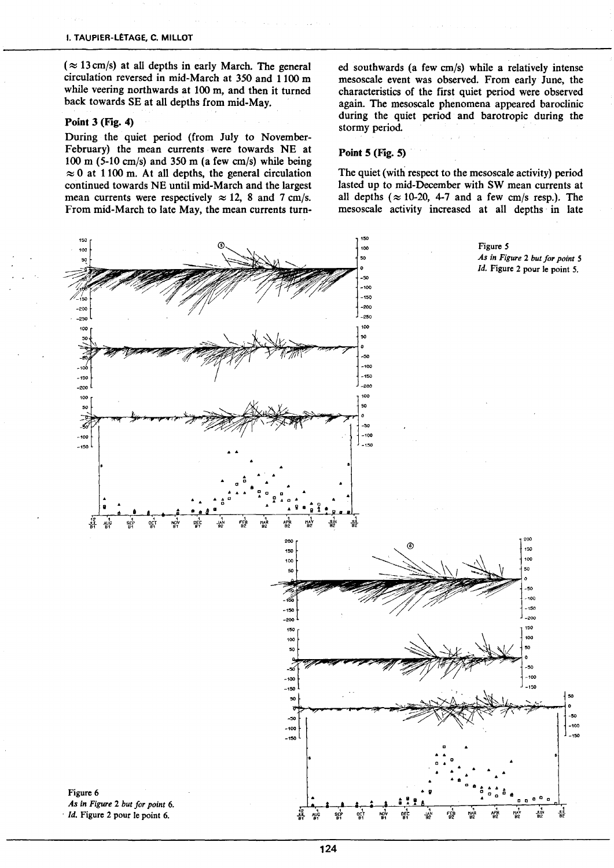$(x: 13 cm/s)$  at all depths in early March. The general circulation reversed in mid-March at 350 and 1100 m while veering northwards at 100 m, and then it turned back towards SE at ali depths from mid-May.

## Point 3 (Fig. 4)

During the quiet period (from July to November-February) the mean currents were towards NE at 100 m (5-10 cm/s) and 350 m (a few cm/s) while being  $\approx 0$  at 1100 m. At all depths, the general circulation continued towards NE until mid-Marchand the largest mean currents were respectively  $\approx 12$ , 8 and 7 cm/s. From mid-March to late May, the mean currents tumed southwards (a few cm/s) while a relatively intense mesoscale event was observed. From early June, the characteristics of the first quiet period were observed again. The mesoscale phenomena appeared baroclinic during the quiet period and barotropic during the stormy period

#### Point 5 (Fig. 5)

The quiet (with respect to the mesoscale activity) period lasted up to mid-December with SW mean currents at all depths ( $\approx$  10-20, 4-7 and a few cm/s resp.). The mesoscale activity increased at all depths in late

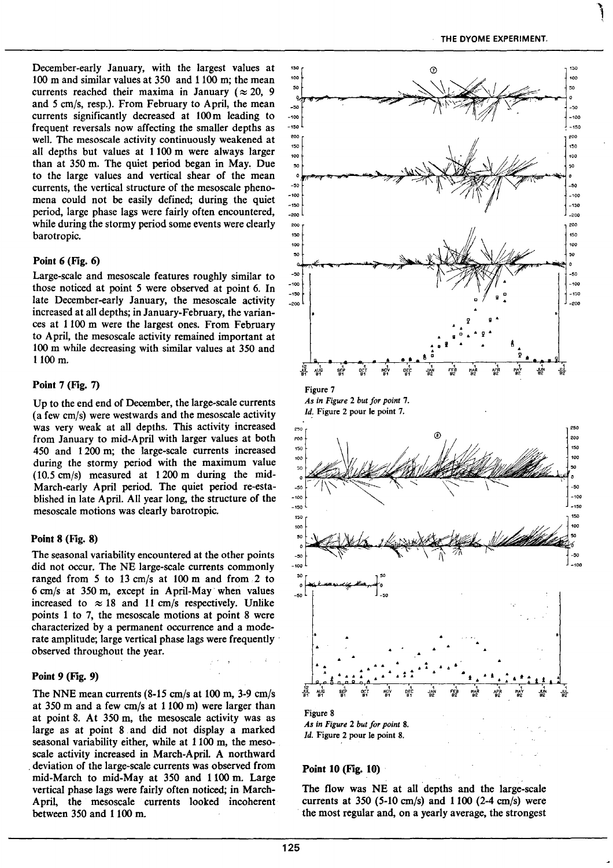' **'** \

December-early January, with the largest values at 100 m and similar values at 350 and 1100 m; the mean currents reached their maxima in January ( $\approx 20$ , 9 and 5 cmjs, resp.). From February to April, the mean currents significantly decreased at 100m leading to frequent reversais now affecting the smalier depths as weil. The mesoscale activity continuously weakened at all depths but values at 1100 m were always larger than at 350 m. The quiet period began in May, Due to the large values and vertical shear of the mean currents, the vertical structure of the mesoscale phenomena could not be easily defined; during the quiet period, large phase lags were fairly often encountered, while during the stormy period some events were clearly barotropic.

## Point 6 (Fig. 6)

Large-scale and mesoscale features roughly similar to those noticed at point 5 were observed at point 6. In late December-early January, the mesoscale activity increased at ali depths; in January-February, the variances at 1100 m were the largest ones. From February to April, the mesoscale activity remained important at 100 m while decreasing with similar values at 350 and 1100 m.

## Point 7 (Fig. 7)

Up to the end end of December, the large-scale currents (a few cm/s) were westwards and the mesoscale activity was very weak at ali depths. This activity increased from January to mid-April with larger values at both 450 and 1200 m; the large-scale currents increased during the stormy period with the maximum value  $(10.5 \text{ cm/s})$  measured at 1200 m during the mid-March-early April period. The quiet period re-established in late April. Ali year long, the structure of the mesoscale motions was clearly barotropic.

## Point 8 (Fig. 8)

The seasonal variability encountered at the other points did not occur. The NE large-scale currents commonly ranged from 5 to 13 cm/s at 100 m and from 2 to  $6 \text{ cm/s}$  at 350 m, except in April-May when values increased to  $\approx 18$  and 11 cm/s respectively. Unlike points 1 to 7, the mesoscale motions at point 8 were characterized by a permanent occurrence and a moderate amplitude; large vertical phase lags were frequently observed throughout the year.

## Point 9 (Fig. 9)

The NNE mean currents  $(8-15 \text{ cm/s at } 100 \text{ m}, 3-9 \text{ cm/s})$ at 350 m and a few cm/s at  $1100$  m) were larger than at point 8. At 350 m, the mesoscale activity was as large as at point 8 and did not display a marked seasonal variabitity either, white at 1100 m, the mesoscale activity increased in March-April. A northward . deviation of the Iarge-scale currents was observed from mid-March to mid-May at 350 and 1100 m. Large vertical phase lags were fairly often noticed; in March-April, the mesoscale currents looked incoherent between 350 and 1100 m.



*As in Figure* 2 *but for point* 8. *Id.* Figure 2 pour le point 8.

## Point 10 (Fig. 10)

The flow was NE at all depths and the large-scale currents at 350 (5-10 cm/s) and  $1100$  (2-4 cm/s) were the most regular and, on a yearly average, the strongest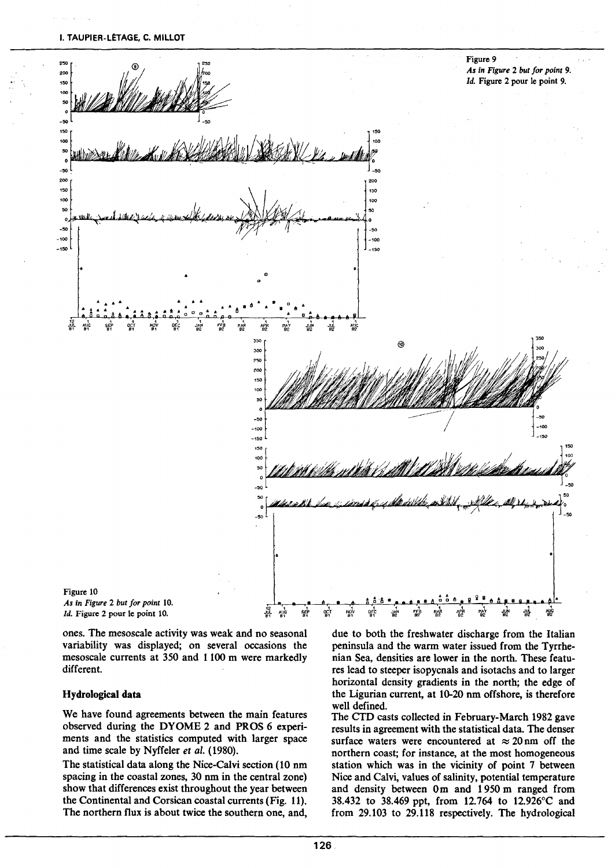I. TAUPIER-LÉTAGE, C. MILLOT



*Id.* Figure 2 pour le point 10.  $\int_{\mathbb{R}_1}^1$  .  $\int_{\mathbb{R}_1}^1$ 

ones. The mesoscale activity was weak and no seasonal variability was displayed; on several occasions the mesoscale currents at 350 and 1100 m were markedly different.

## Hydrological data

We have found agreements between the main features observed during the DYOME 2 and PROS 6 experiments and the statistics computed with larger space and time scale by Nyffeler *et al.* (1980).

The statistical data along the Nice-Calvi section (10 nm spacing in the coastal zones, 30 nm in the central zone) show that differences exist throughout the year between the Continental and Corsican coastal currents (Fig. 11). The northern flux is about twice the southern one, and,

due to both the freshwater discharge from the Italian peninsula and the warm water issued from the Tyrrhenian Sea, densities are lower in the north. These features lead to steeper isopycnals and isotachs and to larger horizontal density gradients in the north; the edge of the Ligurian current, at 10-20 nm offshore, is therefore weil defined.

••

The CTD casts collected in February-March 1982 gave results in agreement with the statistical data. The denser surface waters were encountered at  $\approx 20$  nm off the northern coast; for instance, at the most homogeneous station which was in the vicinity of point 7 between Nice and Calvi, values of salinity, potential temperature and density between Om and 1950 m ranged from 38.432 to 38.469 ppt, from 12.764 to 12.926°C and from 29.103 to 29.118 respectively. The hydrological

91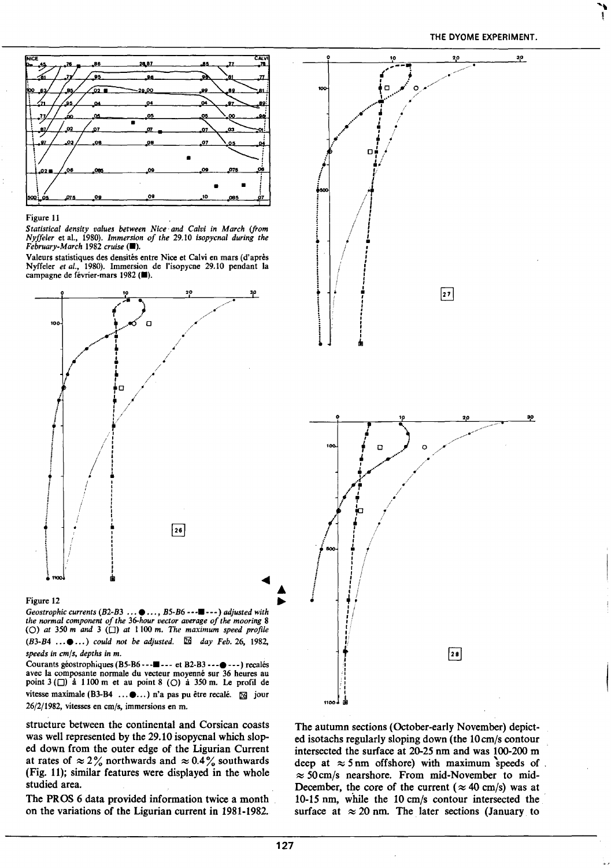THE DYOME EXPERIMENT.



#### Figure 11

*Statistica/ density values between Nice· and Calvi in March (from Nyffeler* et al., 1980). *Immersion of the* 29.10 *isopycna/ during the*   $February-March$  1982 *cruise* ( $\blacksquare$ ).

Valeurs statistiques des densités entre Nice et Calvi en mars (d'après Nyffeler *et al.,* 1980). Immersion de l'isopycne 29.10 pendant la campagne de février-mars 1982 ( $\blacksquare$ ).



#### Figure 12

*Geostrophic currents* (B2-B3 ...  $\bullet$  ..., B5-B6 --- $\blacksquare$ ---) *adjusted with the normal component of the 36-hour vector average of the mooring* 8 (O) at  $350$  *m* and  $3$  ( $\Box$ ) at  $1100$  *m. The maximum speed profile (B3-B4 ...●...) could not be adjusted.*  $\Box$  *day Feb.* 26, 1982, *speeds in cmjs, depths in m.* 

Courants géostrophiques (B5-B6---•--- et B2-B3 ---•---) recalés avec la composante normale du vecteur moyenné sur 36 heures au point  $3 \left(\Box\right)$  à 1100 m et au point 8 (O) à 350 m. Le profil de vitesse maximale (B3-B4 ... $\bullet$ ...) n'a pas pu être recalé.  $\boxdot$  jour 26/2/1982, vitesses en *cmjs,* immersions en m.

structure between the continental and Corsican coasts was well represented by the 29.10 isopycnal which sloped down from the outer edge of the Ligurian Current at rates of  $\approx 2\%$  northwards and  $\approx 0.4\%$  southwards (Fig. 11); similar features were displayed in the whole studied area.

The PROS 6 data provided information twice a month on the variations of the Ligurian current in 1981-1982.



The autumn sections (October-early November) depicted isotachs regularly sloping down (the 10cm/s contour intersected the surface at 20-25 nm and was 100-200 m deep at  $\approx$  5 nm offshore) with maximum speeds of  $\approx$  50 cm/s nearshore. From mid-November to mid-December, the core of the current ( $\approx 40$  cm/s) was at 10-15 nm, while the 10 cm/s contour intersected the surface at  $\approx 20$  nm. The later sections (January to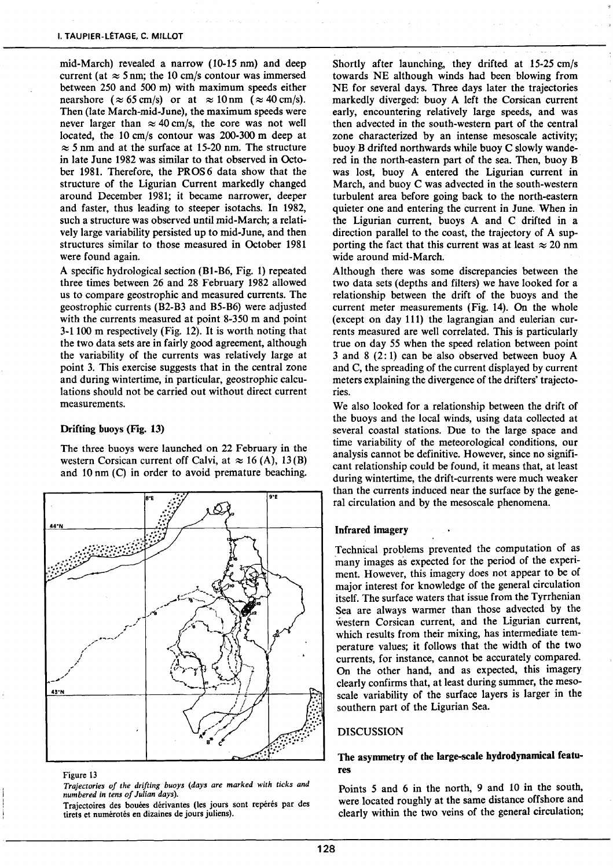mid-March) revealed a narrow (10-15 nm) and deep current (at  $\approx$  5 nm; the 10 cm/s contour was immersed between 250 and 500 m) with maximum speeds either nearshore  $(\approx 65 \text{ cm/s})$  or at  $\approx 10 \text{ nm}$  ( $\approx 40 \text{ cm/s}$ ). Then (late March-mid-June), the maximum speeds were never larger than  $\approx 40$  cm/s, the core was not well located, the 10 cm/s contour was 200-300 m deep at  $\approx$  5 nm and at the surface at 15-20 nm. The structure in late June 1982 was similar to that observed in October 1981. Therefore, the PROS 6 data show that the structure of the Ligurian Current markedly changed around December 1981; it became narrower, deeper and faster, thus leading to steeper isotachs. In 1982, such a structure was observed until mid-March; a relatively large variability persisted up to mid-June, and then structures similar to those measured in October 1981 were found again.

A specifie hydrological section (Bl-B6, Fig. 1) repeated three times between 26 and 28 February 1982 allowed us to compare geostrophic and measured currents. The geostrophic currents (B2-B3 and B5-B6) were adjusted with the currents measured at point 8-350 m and point  $3-1100$  m respectively (Fig. 12). It is worth noting that the two data sets are in fairly good agreement, although the variability of the currents was relatively large at point 3. This exercise suggests that in the central zone and during wintertime, in particular, geostrophic calculations should not be carried out without direct current measurements.

## Drifting buoys (Fig. 13)

The three buoys were launched on 22 February in the western Corsican current off Calvi, at  $\approx 16$  (A), 13(B) and 10 nm (C) in order to avoid premature beaching.



#### Figure 13

*Trajecrories of the drifting buoys (days are marked with ticks and numbered in tens of Julian days).* 

Trajectoires des bouées dérivantes (les jours sont repérés par des tirets et numérotés en dizaines de jours juliens).

Shortly after launching, they drifted at 15-25 cm/s towards NE although winds had been blowing from NE for several days. Three days later the trajectories markedly diverged: buoy A Ieft the Corsican current early, encountering relatively large speeds, and was then advected in the south-western part of the central zone characterized by an intense mesoscale activity; buoy B drifted northwards while buoy C slowly wandered in the north-eastern part of the sea. Then, buoy B was lost, buoy A entered the Ligurian current in March, and buoy C was advected in the south-western turbulent area before going back to the north-eastern quieter one and entering the current in June. When in the Ligurian current, buoys A and C drifted in a direction parallel to the coast, the trajectory of A supporting the fact that this current was at least  $\approx 20$  nm wide around mid-March.

Although there was sorne discrepancies between the two data sets (depths and filters) we have looked for a relationship between the drift of the buoys and the current meter measurements (Fig. 14). On the whole (except on day 111) the lagrangian and eulerian currents measured are weil correlated. This is particularly true on day *55* when the speed relation between point 3 and 8 (2: 1) can be also observed between buoy A and C, the spreading of the current displayed by current meters explaining the divergence of the drifters' trajectories.

We also looked for a relationship between the drift of the buoys and the local winds, using data collected at severa) coastal stations. Due to the large space and time variability of the meteorological conditions, our analysis cannot be definitive. However, since no significant relationship could be found, it means that, at least during wintertime, the drift-currents were much weaker than the currents induced near the surface by the general circulation and by the mesoscale phenomena.

## lnfrared imagery

Technical problems prevented the computation of as many images as expected for the period of the experiment. However, this imagery does not appear to be of major interest for knowledge of the general circulation itself. The surface waters that issue from the Tyrrhenian Sea are always warmer than those advected by the western Corsican current, and the Ligurian current, which results from their mixing, has intermediate temperature values; it follows that the width of the two currents, for instance, cannot be accurately compared. On the other hand, and as expected, this imagery clearly confirms that, at least during summer, the mesoscale variability of the surface layers is larger in the southern part of the Ligurian Sea.

#### DISCUSSION

## The asymmetry of the Iarge-scale hydrodynamical features

Points *5* and 6 in the north, 9 and 10 in the south, were located roughly at the same distance offshore and clearly within the two veins of the general circulation;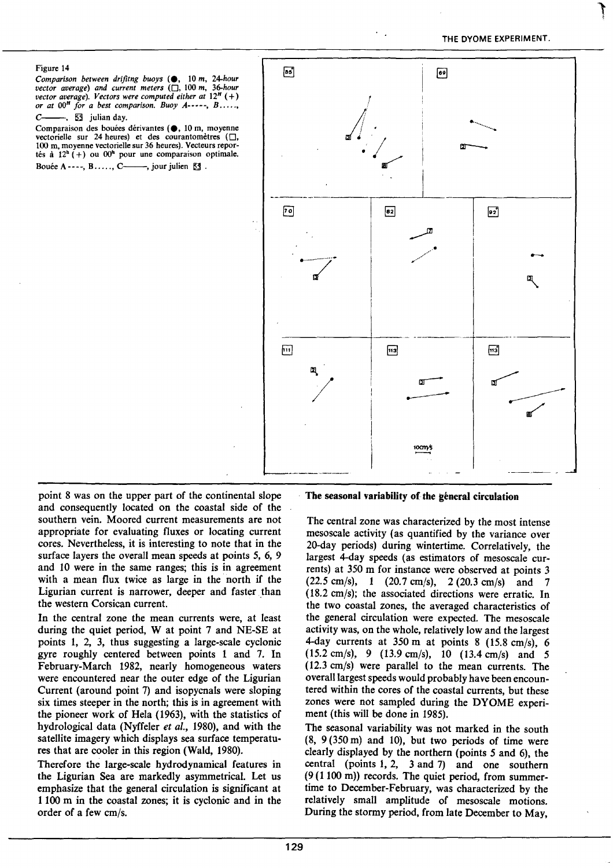#### Figure 14

*Comparison between drifitng buoys* (e, 10 *m, 24-hour vector average) and current meters* (0, 100 *m, 36-hour vector average*). Vectors were computed either at  $12^H$  (+) *or at OOH for a best comparison. Buoy A-----, B ..... ,* 

 $C_{\text{---}}$ ,  $53$  julian day.

Comparaison des bouées dérivantes (., 10 m, moyenne vectorielle sur 24 heures) et des courantomètres  $(\Box,$ 100 m, moyenne vectorielle sur 36 heures). Vecteurs reportés à  $12<sup>h</sup>(+)$  ou  $00<sup>h</sup>$  pour une comparaison optimale. Bouée A----,  $B$ ....., C——, jour julien  $53$ .



point 8 was on the upper part of the continental slope and consequently located on the coastal side of the southern vein. Moored current measurements are not appropriate for evaluating fluxes or locating current cores. Nevertheless, it is interesting to note that in the surface layers the overall mean speeds at points *5,* 6, 9 and 10 were in the same ranges; this is in agreement with a mean flux twice as large in the north if the Ligurian current is narrower, deeper and faster than the western Corsican current.

In the central zone the mean currents were, at least during the quiet period, W at point 7 and NE-SE at points 1, 2, 3, thus suggesting a large-scale cyclonic gyre roughly centered between points 1 and 7. ln February-March 1982, nearly homogeneous waters were encountered near the outer edge of the Ligurian Current (around point 7) and isopycnals were sloping six times steeper in the north; this is in agreement with the pioneer work of Hela (1963), with the statistics of hydrological data (Nyffeler *et al.,* 1980), and with the satellite imagery which displays sea surface temperatures that are cooler in this region (Wald, 1980).

Therefore the large-scale hydrodynamical features in the Ligurian Sea are markedly asymmetrical. Let us emphasize that the general circulation is significant at 1100 m in the coastal zones; it is cyclonic and in the order of a few cm/s.

#### The seasonal variability of the géneral circulation

The central zone was characterized by the most intense mesoscale activity (as quantified by the variance over 20-day periods) during wintertime. Correlatively, the largest 4-day speeds (as estimators of mesoscale currents) at 350 m for instance were observed at points 3  $(22.5 \text{ cm/s})$ , 1  $(20.7 \text{ cm/s})$ , 2  $(20.3 \text{ cm/s})$  and 7  $(18.2 \text{ cm/s})$ ; the associated directions were erratic. In the two coastal zones, the averaged characteristics of the general circulation were expected. The mesoscale activity was, on the whole, relatively low and the largest 4-day currents at  $350 \text{ m}$  at points 8 (15.8 cm/s), 6  $(15.2 \text{ cm/s})$ , 9  $(13.9 \text{ cm/s})$ , 10  $(13.4 \text{ cm/s})$  and 5 ( 12.3 cm/s) were parallel to the mean currents. The overall largest speeds would probably have been encountered within the cores of the coastal currents, but these zones were not sampled during the DYOME experiment (this will be done in 1985).

The seasonal variability was not marked in the south  $(8, 9(350 \text{ m})$  and 10), but two periods of time were clearly displayed by the northern (points *5* and 6), the central (points 1, 2, 3 and 7) and one southern (9 (1100 rn)) records. The quiet period, from summertime to December-February, was characterized by the relatively small amplitude of mesoscale motions. During the stormy period, from late December to May,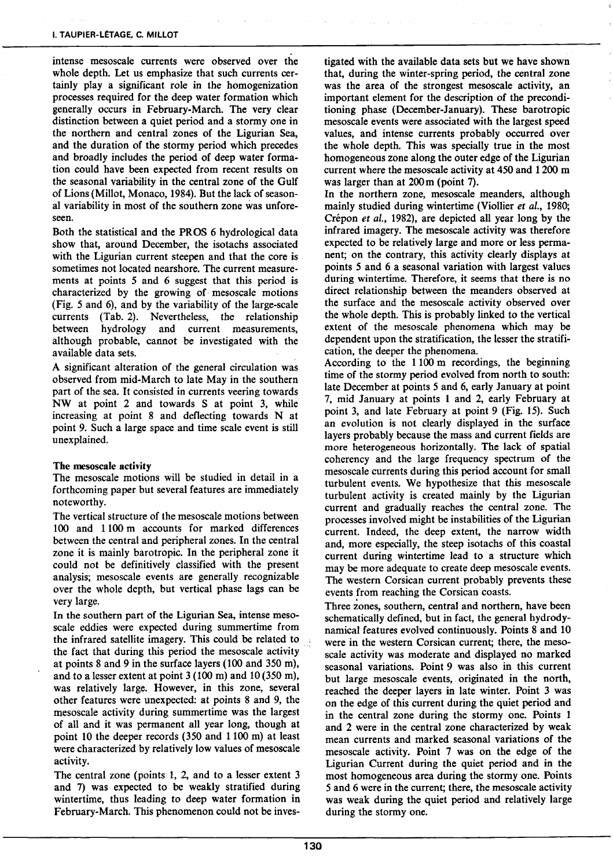intense mesoscale currents were observed over the whole depth. Let us emphasize that such currents certainly play a significant role in the homogenization processes required for the deep water formation which generally occurs in February-March. The very clear distinction between a quiet period and a stormy one in the northern and central zones of the Ligurian Sea, and the duration of the stormy period which precedes and broadly includes the period of deep water formation could have been expected from recent results on the seasonal variability in the central zone of the Gulf of Lions (Millot, Monaco, 1984). But the lack of seasonal variability in most of the southern zone was unforeseen.

Both the statistical and the PROS 6 hydrological data show that, around December, the isotachs associated with the Ligurian current steepen and that the core is sometimes not located nearshore. The current measurements at points 5 and 6 suggest that this period is characterized by the growing of· mesoscale motions (Fig. *5* and 6), and by the variability of the large-scale currents (Tab. 2). Nevertheless, the relationship between hydrology and current measurements, although probable, cannot be investigated with the available data sets.

A significant alteration of the general circulation was observed from mid-March to late May in the southern part of the sea. It consisted in currents veering towards NW at point 2 and towards S at point 3, white increasing at point 8 and deflecting towards N at point 9. Such a large space and time scale event is still unexplained.

## The mesoscale activity

The mesoscale motions will be studied in detail in a forthcoming paper but several features are immediately noteworthy.

The vertical structure of the mesoscale motions between 100 and 1100 m accounts for marked differences between the central and peripheral zones. In the central zone it is mainly barotropic. In the peripheral zone it could not be definitively classified with the present analysis; mesoscale events are generally recognizable over the whole depth, but vertical phase lags can be very large.

In the southern part of the Ligurian Sea, intense mesoscale eddies were expected during summertime from the infrared satellite imagery. This could be related to the fact that during this period the mesoscale activity at points 8 and 9 in the surface layers (100 and 350 rn), and to a lesser extent at point  $3(100 \text{ m})$  and  $10(350 \text{ m})$ , was relatively large. However, in this zone, severa! other features were unexpected: at points 8 and 9, the mesoscale activity during summertime was the largest of ali and it was permanent ali year long, though at point 10 the deeper records (350 and 1100 m) at least were characterized by relatively low values of mesoscale activity.

The central zone (points 1, 2, and to a lesser extent 3 and 7) was expected to be weakly stratified during wintertime, thus leading to deep water formation in February-March. This phenomenon could not be inves-

tigated with the available data sets but we have shown that, during the winter-spring period, the central zone was the area of the strongest mesoscale activity, an important element for the description of the preconditioning phase (December-January). These barotropic mesoscale events were associated with the largest speed values, and intense currents probably occurred over the whole depth. This was specially true in the most homogeneous zone along the outer edge of the Ligurian current where the mesoscale activity at 450 and 1200 m was larger than at 200m (point 7).

In the northern zone, mesoscale meanders, although mainly studied during wintertime (Viollier *et al.,* 1980; Crépon *et al.,* 1982), are depicted ali year long by the infrared imagery. The mesoscale activity was therefore expected to be relatively large and more or less permanent; on the contrary, this activity clearly displays at points *5* and 6 a seasonal variation with largest values during wintertime. Therefore, it seems that there is no direct relationship between the meanders observed at the surface and the mesoscale activity observed over the whole depth. This is probably linked to the vertical extent of the mesoscale phenomena which may be dependent upon the stratification, the lesser the stratification, the deeper the phenomena.

According to the 1100 m recordings, the beginning time of the stormy period evolved from north to south: late December at points 5 and 6, early January at point 7, mid January at points 1 and 2, early February at point 3, and late February at point 9 (Fig. 15). Such an evolution is not clearly displayed in the surface layers probably because the mass and current fields are more heterogeneous horizontally. The lack of spatial coherency and the large frequency spectrum of the mesoscale currents during this period account for small turbulent events. We hypothesize that this mesoscale turbulent activity is created mainly by the Ligurian current and gradually reaches the central zone. The processes involved might be instabilities of the Ligurian current. Indeed, the deep extent, the narrow width and, more especially, the steep isotachs of this coastal current during wintertime lead to a structure which may be more adequate to create deep mesoscale events. The western Corsican current probably prevents these events from reaching the Corsican coasts.

Three zones, southern, central and northern, have been schematically defined, but in fact, the general hydrodynamical features evolved continuously. Points 8 and 10 were in the western Corsican current; there, the mesoscale activity was moderate and displayed no marked seasonal variations. Point 9 was also in this current but large mesoscale events, originated in the north, reached the deeper layers in late winter. Point 3 was on the edge of this current during the quiet period and in the central zone during the stormy one. Points 1 and 2 were in the central zone characterized by weak mean currents and marked seasonal variations of the mesoscale activity. Point 7 was on the edge of the Ligurian Current during the quiet period and in the most homogeneous area during the stormy one. Points 5 and 6 were in the current; there, the mesoscale activity was weak during the quiet period and relatively large during the stormy one.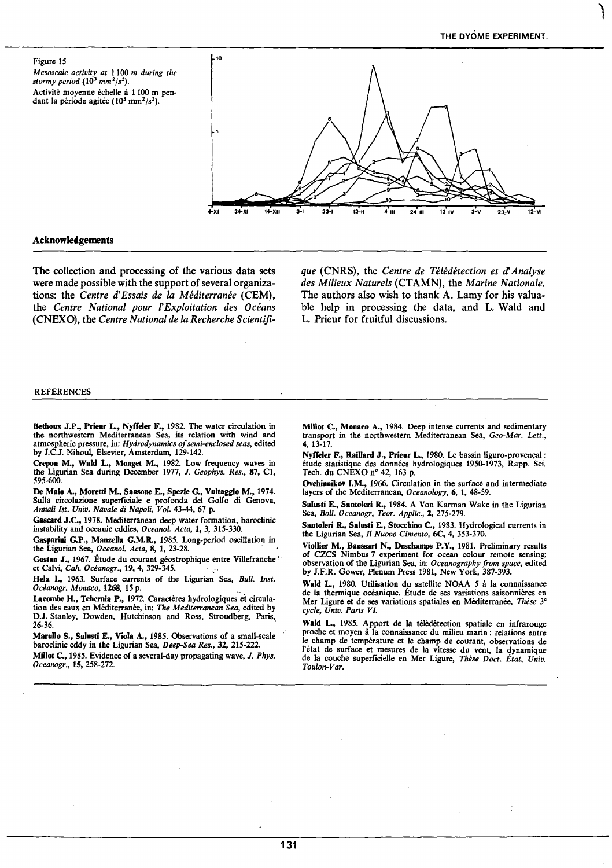Figure 15 *Mesoscale activity at* 1100 *m during the stormy period* (10<sup>3</sup>*mm<sup>2</sup> fs <sup>2</sup> ).*  Activité moyenne échelle à 1100 m pendant la période agitée ( $10^3$  mm<sup>2</sup>/s<sup>2</sup>).



## Acknowledgements

The collection and processing of the various data sets were made possible with the support of several organizations: the *Centre d'Essais de la Méditerranée* (CEM), the *Centre National pour* r *Exploitation des Océans*  (CNEXO), the *Centre National de la Recherche Scientifi-* *que* (CNRS), the *Centre de Télédétection et d'Analyse des Milieux Naturels* (CTAMN), the *Marine Nationale.*  The authors also wish to thank A. Lamy for his valuable help in processing the data, and L. Wald and L. Prieur for fruitful discussions.

#### **REFERENCES**

Betboux J.P., Prieur L, Nyffeler F., 1982. The water circulation in the northwestem Mediterranean Sea, its relation with wind and atmospheric pressure, in: *Hydrodynamics of semi-enclosed seas,* edited by J.C.J. Nihou1, Elsevier, Amsterdam, 129-142.

Crepon M., Wald L, Monget M., 1982. Low frequency waves in the Ligurian Sea during December 1977, J. *Geophys. Res.,* 87, Cl, 595-600.

De Maio A., Moretti M., Sansone E., Spezie G., Vultaggio M., 1974. Sulla circolazione superficiale e profonda del Golfo di Genova, *Annali Ist. Univ. Navale di Napoli, Vol.* 43-44, 67 p.

Gascard J.C., 1978. Mediterranean deep water formation, baroclinic instability and oceanic eddies, *Oceanol. Acta,* 1, 3, 315-330.

Gasparini G.P., Manzella G.M.R., 1985. Long-period oscillation in the Ligurian Sea, *Oceanol. Acta*, 8, 1, 23-28.

Gostan J., 1967. Étude du courant géostrophique entre Villefranche<sup>!</sup> et Calvi, *Cah. Océanogr.,* 19, 4, 329-345. . .

Hela L, 1963. Surface currents of the Ligurian Sea, *Bull. Inst. Océanogr. Monaco,* 1268, 15 p. "

Lacombe H., Tcbemia P., 1972. Caractères hydrologiques et circulation des eaux en Méditerranée, in: *The Mediterranean Sea,* edited by D.J. Stanley, Dowden, Hutchinson and Ross, Stroudberg, Paris, 26-36.

Marullo S., Salusti E., Viola A., 1985. Observations of a small-scale baroclinic eddy in the Ligurian Sea, *Deep-Sea Res.,* 32, 215-222. Millot C., 1985. Evidence of a several-day propagating wave, J. *Phys. Oceanogr.,* 15, 258-272.

Millot C., Monaco A., 1984. Deep intense currents and sedimentary transport in the northwestern Mediterranean Sea, *Geo-Mar. Lett.,*  4, 13-17.

Nyffeler F., Raillard J., Prieur L., 1980. Le bassin liguro-provençal : étude statistique des données hydrologiques 1950-1973, Rapp. Sei. Tech. du CNEXO  $n^{\circ}$  42, 163 p.

Ovcbinnikov I.M., 1966. Circulation in the surface and intermediate layers of the Mediterranean, *Oceanology,* 6, 1, 48-59.

Salusti E., Santoleri R., 1984. A Von Karman Wake in the Ligurian Sea, *Boil. Oceanogr, Teor. Applic.,* 2, 275-279.

Santoleri R., Salusti E., Stocchino C., 1983. Hydrological currents in the Ligurian Sea, *Il Nuovo Cimenta,* 6C, 4, 353-370.

Viollier M., Baussart N., Deschamps P.Y., 1981. Preliminary results of CZCS Nimbus 7 experiment for ocean colour remote sensing: observation of the Ligurian Sea, in: *Oceanography from space,* edited by J.F.R. Gower, Plenum Press 1981, New York, 387-393.

Wald L, 1980. Utilisation du satellite NOAA *5* à la connaissance de la thermique océanique. Étude de ses variations saisonnières en Mer Ligure et de ses variations spatiales en Méditerranée, *Thèse* 3• *cycle, Univ. Paris VI.* 

Wald L., 1985. Apport de la télédétection spatiale en infrarouge proche et moyen à la connaissance du milieu marin : relations entre le champ de température et le champ de courant, observations de l'état de surface et mesures de la vitesse du vent, la dynamique de la couche superficielle en Mer Ligure, *Thèse Doct. État, Univ. Toulon-Var.*